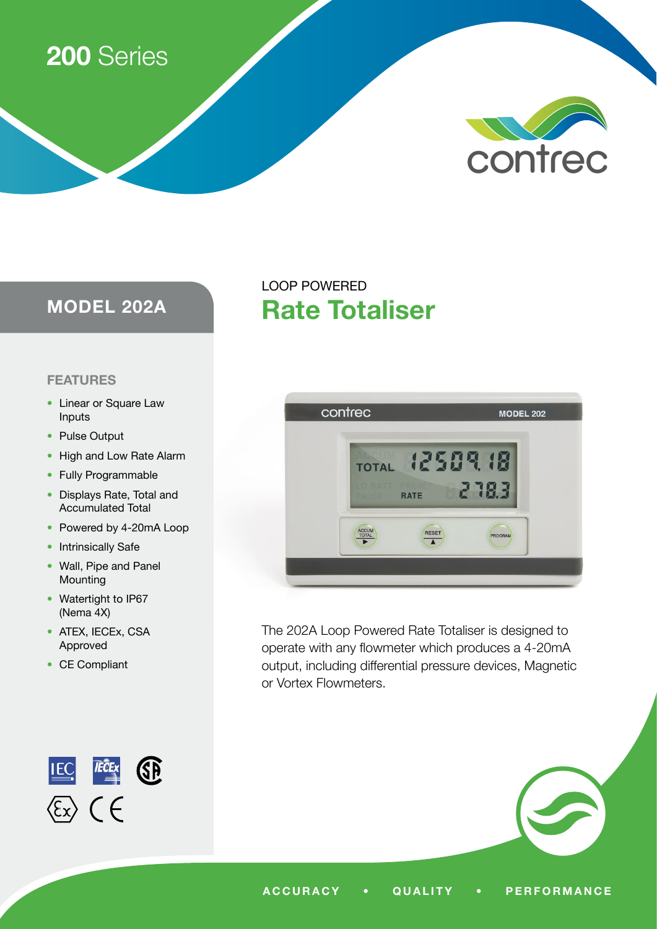## 200 Series



#### FEATURES

- Linear or Square Law Inputs
- Pulse Output
- High and Low Rate Alarm
- Fully Programmable
- Displays Rate, Total and Accumulated Total
- Powered by 4-20mA Loop
- Intrinsically Safe
- Wall, Pipe and Panel Mounting
- Watertight to IP67 (Nema 4X)
- ATEX, IECEx, CSA Approved
- CE Compliant



# MODEL 202A Rate Totaliser

LOOP POWERED



The 202A Loop Powered Rate Totaliser is designed to operate with any flowmeter which produces a 4-20mA output, including differential pressure devices, Magnetic or Vortex Flowmeters.

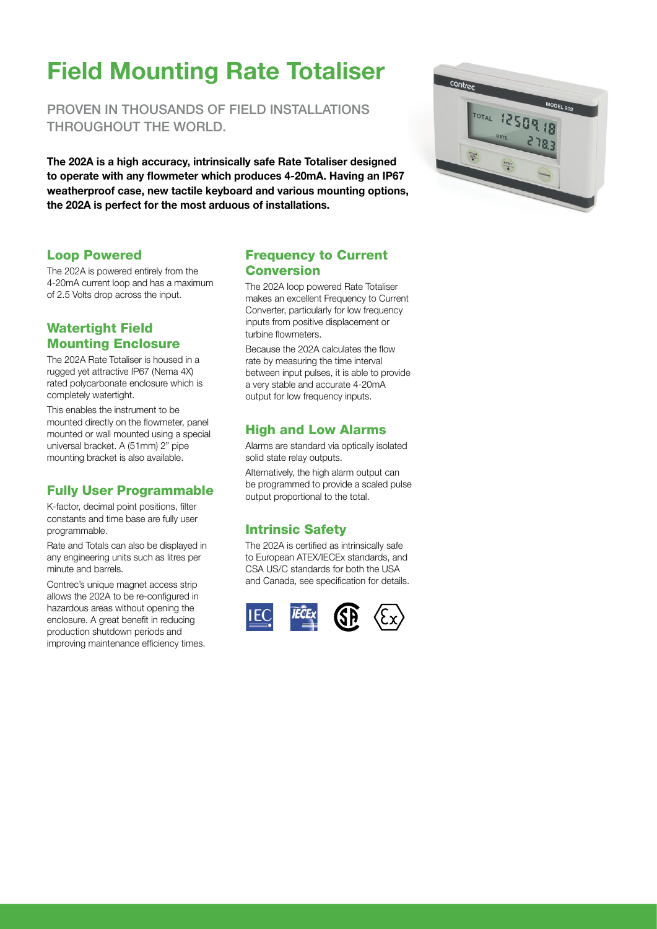# Field Mounting Rate Totaliser

PROVEN IN THOUSANDS OF FIFLD INSTALLATIONS THROUGHOUT THE WORLD.

The 202A is a high accuracy, intrinsically safe Rate Totaliser designed to operate with any flowmeter which produces 4-20mA. Having an IP67 weatherproof case, new tactile keyboard and various mounting options, the 202A is perfect for the most arduous of installations.

#### Loop Powered

The 202A is powered entirely from the 4-20mA current loop and has a maximum of 2.5 Volts drop across the input.

#### Watertight Field Mounting Enclosure

The 202A Rate Totaliser is housed in a rugged yet attractive IP67 (Nema 4X) rated polycarbonate enclosure which is completely watertight.

This enables the instrument to be mounted directly on the flowmeter, panel mounted or wall mounted using a special universal bracket. A (51mm) 2" pipe mounting bracket is also available.

#### Fully User Programmable

K-factor, decimal point positions, filter constants and time base are fully user programmable.

Rate and Totals can also be displayed in any engineering units such as litres per minute and barrels.

Contrec's unique magnet access strip allows the 202A to be re-configured in hazardous areas without opening the enclosure. A great benefit in reducing production shutdown periods and improving maintenance efficiency times.

#### Frequency to Current Conversion

The 202A loop powered Rate Totaliser makes an excellent Frequency to Current Converter, particularly for low frequency inputs from positive displacement or turbine flowmeters.

Because the 202A calculates the flow rate by measuring the time interval between input pulses, it is able to provide a very stable and accurate 4-20mA output for low frequency inputs.

#### High and Low Alarms

Alarms are standard via optically isolated solid state relay outputs.

Alternatively, the high alarm output can be programmed to provide a scaled pulse output proportional to the total.

### Intrinsic Safety

The 202A is certified as intrinsically safe to European ATEX/IECEx standards, and CSA US/C standards for both the USA and Canada, see specification for details.



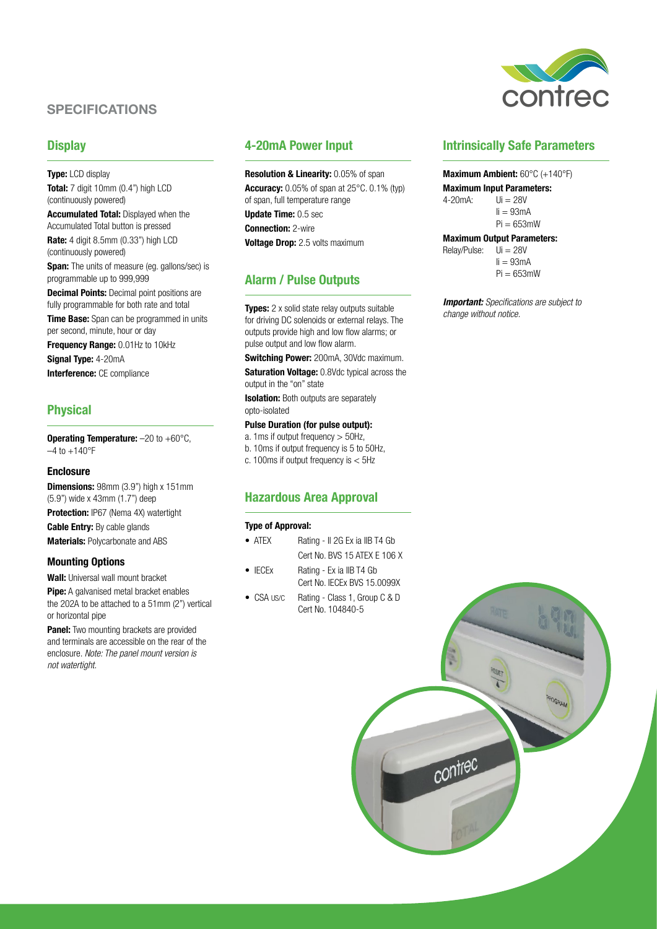#### SPECIFICATIONS

#### **Display**

Type: LCD display Total: 7 digit 10mm (0.4") high LCD (continuously powered) **Accumulated Total: Displayed when the** Accumulated Total button is pressed Rate: 4 digit 8.5mm (0.33") high LCD (continuously powered) **Span:** The units of measure (eg. gallons/sec) is programmable up to 999,999 **Decimal Points:** Decimal point positions are fully programmable for both rate and total **Time Base:** Span can be programmed in units per second, minute, hour or day Frequency Range: 0.01Hz to 10kHz Signal Type: 4-20mA Interference: CE compliance

Physical

**Operating Temperature:**  $-20$  to  $+60^{\circ}$ C,  $-4$  to  $+140$ °F

#### **Enclosure**

Dimensions: 98mm (3.9") high x 151mm (5.9") wide x 43mm (1.7") deep Protection: IP67 (Nema 4X) watertight Cable Entry: By cable glands Materials: Polycarbonate and ABS

#### Mounting Options

Wall: Universal wall mount bracket

**Pipe:** A galvanised metal bracket enables the 202A to be attached to a 51mm (2") vertical or horizontal pipe

**Panel:** Two mounting brackets are provided and terminals are accessible on the rear of the enclosure. *Note: The panel mount version is not watertight.*

#### 4-20mA Power Input

Resolution & Linearity: 0.05% of span Accuracy: 0.05% of span at 25°C. 0.1% (typ) of span, full temperature range Update Time: 0.5 sec **Connection: 2-wire Voltage Drop:** 2.5 volts maximum

#### Alarm / Pulse Outputs

**Types:** 2 x solid state relay outputs suitable for driving DC solenoids or external relays. The outputs provide high and low flow alarms; or pulse output and low flow alarm.

**Switching Power:** 200mA, 30Vdc maximum.

Saturation Voltage: 0.8Vdc typical across the output in the "on" state

**Isolation:** Both outputs are separately opto-isolated

#### Pulse Duration (for pulse output):

- a. 1ms if output frequency > 50Hz,
- b. 10ms if output frequency is 5 to 50Hz,
- c. 100ms if output frequency is < 5Hz

#### Hazardous Area Approval

#### Type of Approval:

- ATEX Rating II 2G Ex ia IIB T4 Gb Cert No. BVS 15 ATEX E 106 X
- IECEx Rating Ex ia IIB T4 Gb Cert No. IECEx BVS 15.0099X
- CSA US/C Rating Class 1, Group C & D Cert No. 104840-5

### Intrinsically Safe Parameters

#### Maximum Ambient: 60°C (+140°F)

**Maximum Input Parameters:**<br> $4-20mA:$   $Ui = 28V$  $U = 28V$  $I = 93mA$  $Pi = 653$ mW

### **Maximum Output Parameters:**<br>Relav/Pulse:  $Ui = 28V$

Relav/Pulse:  $I = 93mA$  $Pi = 653$ mW

*Important: Specifications are subject to change without notice.*